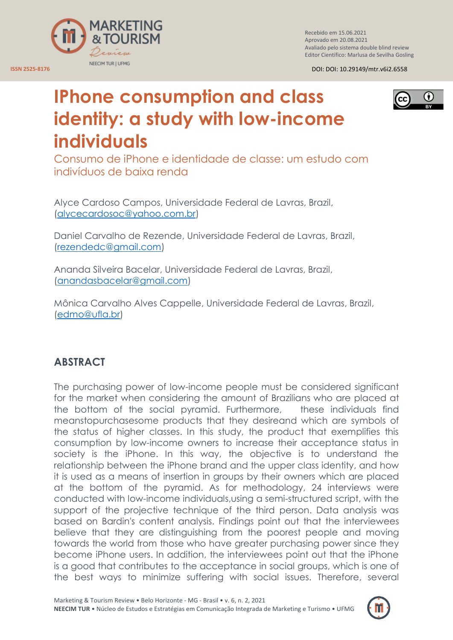

Recebido em 15.06.2021 Aprovado em 20.08.2021 Avaliado pelo sistema double blind review Editor Científico: Marlusa de Sevilha Gosling

**ISSN 2525-8176** DOI: DOI: 10.29149/mtr.v6i2.6558

# G) (cc

# **IPhone consumption and class identity: a study with low-income individuals**

Consumo de iPhone e identidade de classe: um estudo com indivíduos de baixa renda

Alyce Cardoso Campos, Universidade Federal de Lavras, Brazil, [\(alycecardosoc@yahoo.com.br\)](mailto:alycecardosoc@yahoo.com.br)

Daniel Carvalho de Rezende, Universidade Federal de Lavras, Brazil, [\(rezendedc@gmail.com\)](mailto:rezendedc@gmail.com)

Ananda Silveira Bacelar, Universidade Federal de Lavras, Brazil, [\(anandasbacelar@gmail.com\)](mailto:anandasbacelar@gmail.com)

Mônica Carvalho Alves Cappelle, Universidade Federal de Lavras, Brazil, [\(edmo@ufla.br\)](mailto:edmo@ufla.br)

# **ABSTRACT**

The purchasing power of low-income people must be considered significant for the market when considering the amount of Brazilians who are placed at the bottom of the social pyramid. Furthermore, these individuals find meanstopurchasesome products that they desireand which are symbols of the status of higher classes. In this study, the product that exemplifies this consumption by low-income owners to increase their acceptance status in society is the iPhone. In this way, the objective is to understand the relationship between the iPhone brand and the upper class identity, and how it is used as a means of insertion in groups by their owners which are placed at the bottom of the pyramid. As for methodology, 24 interviews were conducted with low-income individuals,using a semi-structured script, with the support of the projective technique of the third person. Data analysis was based on Bardin's content analysis. Findings point out that the interviewees believe that they are distinguishing from the poorest people and moving towards the world from those who have greater purchasing power since they become iPhone users. In addition, the interviewees point out that the iPhone is a good that contributes to the acceptance in social groups, which is one of the best ways to minimize suffering with social issues. Therefore, several

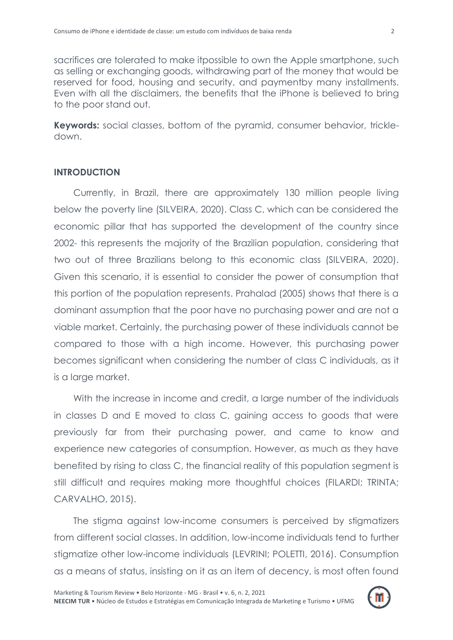sacrifices are tolerated to make itpossible to own the Apple smartphone, such as selling or exchanging goods, withdrawing part of the money that would be reserved for food, housing and security, and paymentby many installments. Even with all the disclaimers, the benefits that the iPhone is believed to bring to the poor stand out.

**Keywords:** social classes, bottom of the pyramid, consumer behavior, trickledown.

#### **INTRODUCTION**

Currently, in Brazil, there are approximately 130 million people living below the poverty line (SILVEIRA, 2020). Class C, which can be considered the economic pillar that has supported the development of the country since 2002- this represents the majority of the Brazilian population, considering that two out of three Brazilians belong to this economic class (SILVEIRA, 2020). Given this scenario, it is essential to consider the power of consumption that this portion of the population represents. Prahalad (2005) shows that there is a dominant assumption that the poor have no purchasing power and are not a viable market. Certainly, the purchasing power of these individuals cannot be compared to those with a high income. However, this purchasing power becomes significant when considering the number of class C individuals, as it is a large market.

With the increase in income and credit, a large number of the individuals in classes D and E moved to class C, gaining access to goods that were previously far from their purchasing power, and came to know and experience new categories of consumption. However, as much as they have benefited by rising to class C, the financial reality of this population segment is still difficult and requires making more thoughtful choices (FILARDI; TRINTA; CARVALHO, 2015).

The stigma against low-income consumers is perceived by stigmatizers from different social classes. In addition, low-income individuals tend to further stigmatize other low-income individuals (LEVRINI; POLETTI, 2016). Consumption as a means of status, insisting on it as an item of decency, is most often found

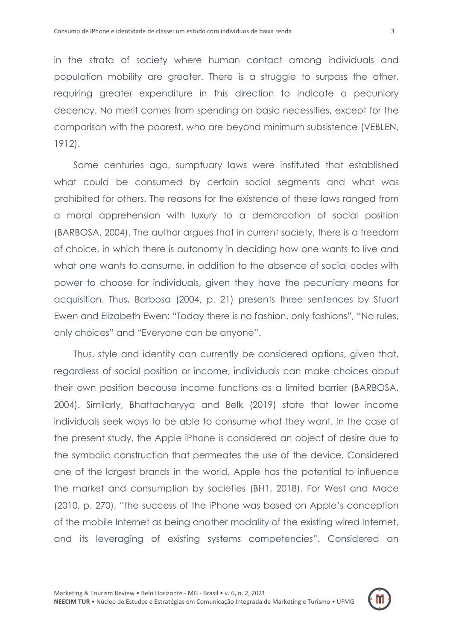in the strata of society where human contact among individuals and population mobility are greater. There is a struggle to surpass the other, requiring greater expenditure in this direction to indicate a pecuniary decency. No merit comes from spending on basic necessities, except for the comparison with the poorest, who are beyond minimum subsistence (VEBLEN, 1912).

Some centuries ago, sumptuary laws were instituted that established what could be consumed by certain social segments and what was prohibited for others. The reasons for the existence of these laws ranged from a moral apprehension with luxury to a demarcation of social position (BARBOSA, 2004). The author argues that in current society, there is a freedom of choice, in which there is autonomy in deciding how one wants to live and what one wants to consume, in addition to the absence of social codes with power to choose for individuals, given they have the pecuniary means for acquisition. Thus, Barbosa (2004, p. 21) presents three sentences by Stuart Ewen and Elizabeth Ewen: "Today there is no fashion, only fashions", "No rules, only choices" and "Everyone can be anyone".

Thus, style and identity can currently be considered options, given that, regardless of social position or income, individuals can make choices about their own position because income functions as a limited barrier (BARBOSA, 2004). Similarly, Bhattacharyya and Belk (2019) state that lower income individuals seek ways to be able to consume what they want. In the case of the present study, the Apple iPhone is considered an object of desire due to the symbolic construction that permeates the use of the device. Considered one of the largest brands in the world, Apple has the potential to influence the market and consumption by societies (BH1, 2018). For West and Mace (2010, p. 270), "the success of the iPhone was based on Apple"s conception of the mobile Internet as being another modality of the existing wired Internet, and its leveraging of existing systems competencies". Considered an

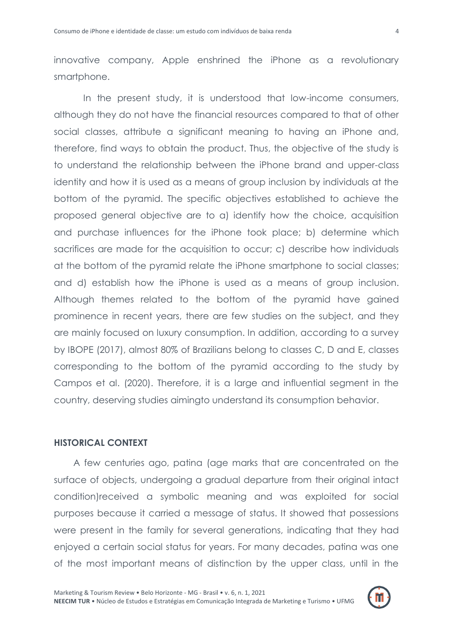innovative company, Apple enshrined the iPhone as a revolutionary smartphone.

In the present study, it is understood that low-income consumers, although they do not have the financial resources compared to that of other social classes, attribute a significant meaning to having an iPhone and, therefore, find ways to obtain the product. Thus, the objective of the study is to understand the relationship between the iPhone brand and upper-class identity and how it is used as a means of group inclusion by individuals at the bottom of the pyramid. The specific objectives established to achieve the proposed general objective are to a) identify how the choice, acquisition and purchase influences for the iPhone took place; b) determine which sacrifices are made for the acquisition to occur; c) describe how individuals at the bottom of the pyramid relate the iPhone smartphone to social classes; and d) establish how the iPhone is used as a means of group inclusion. Although themes related to the bottom of the pyramid have gained prominence in recent years, there are few studies on the subject, and they are mainly focused on luxury consumption. In addition, according to a survey by IBOPE (2017), almost 80% of Brazilians belong to classes C, D and E, classes corresponding to the bottom of the pyramid according to the study by Campos et al. (2020). Therefore, it is a large and influential segment in the country, deserving studies aimingto understand its consumption behavior.

#### **HISTORICAL CONTEXT**

A few centuries ago, patina (age marks that are concentrated on the surface of objects, undergoing a gradual departure from their original intact condition)received a symbolic meaning and was exploited for social purposes because it carried a message of status. It showed that possessions were present in the family for several generations, indicating that they had enjoyed a certain social status for years. For many decades, patina was one of the most important means of distinction by the upper class, until in the

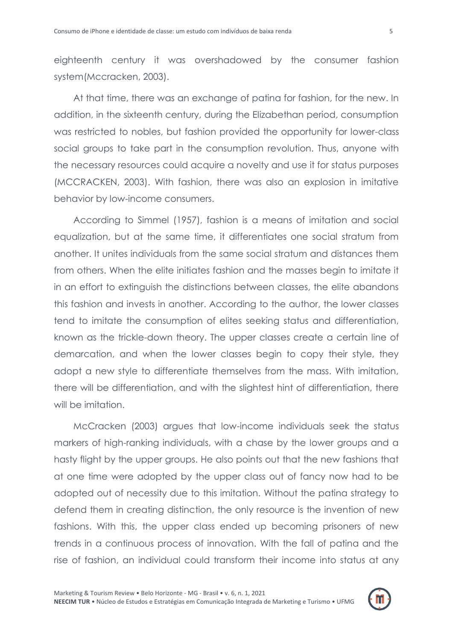eighteenth century it was overshadowed by the consumer fashion system(Mccracken, 2003).

At that time, there was an exchange of patina for fashion, for the new. In addition, in the sixteenth century, during the Elizabethan period, consumption was restricted to nobles, but fashion provided the opportunity for lower-class social groups to take part in the consumption revolution. Thus, anyone with the necessary resources could acquire a novelty and use it for status purposes (MCCRACKEN, 2003). With fashion, there was also an explosion in imitative behavior by low-income consumers.

According to Simmel (1957), fashion is a means of imitation and social equalization, but at the same time, it differentiates one social stratum from another. It unites individuals from the same social stratum and distances them from others. When the elite initiates fashion and the masses begin to imitate it in an effort to extinguish the distinctions between classes, the elite abandons this fashion and invests in another. According to the author, the lower classes tend to imitate the consumption of elites seeking status and differentiation, known as the trickle-down theory. The upper classes create a certain line of demarcation, and when the lower classes begin to copy their style, they adopt a new style to differentiate themselves from the mass. With imitation, there will be differentiation, and with the slightest hint of differentiation, there will be imitation.

McCracken (2003) argues that low-income individuals seek the status markers of high-ranking individuals, with a chase by the lower groups and a hasty flight by the upper groups. He also points out that the new fashions that at one time were adopted by the upper class out of fancy now had to be adopted out of necessity due to this imitation. Without the patina strategy to defend them in creating distinction, the only resource is the invention of new fashions. With this, the upper class ended up becoming prisoners of new trends in a continuous process of innovation. With the fall of patina and the rise of fashion, an individual could transform their income into status at any

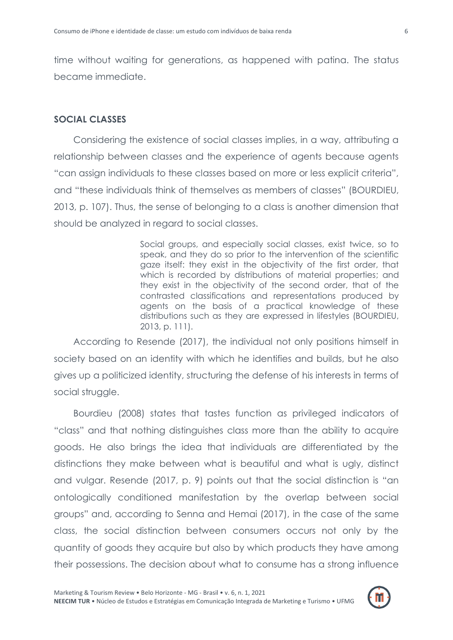time without waiting for generations, as happened with patina. The status became immediate.

#### **SOCIAL CLASSES**

Considering the existence of social classes implies, in a way, attributing a relationship between classes and the experience of agents because agents "can assign individuals to these classes based on more or less explicit criteria", and "these individuals think of themselves as members of classes" (BOURDIEU, 2013, p. 107). Thus, the sense of belonging to a class is another dimension that should be analyzed in regard to social classes.

> Social groups, and especially social classes, exist twice, so to speak, and they do so prior to the intervention of the scientific gaze itself: they exist in the objectivity of the first order, that which is recorded by distributions of material properties; and they exist in the objectivity of the second order, that of the contrasted classifications and representations produced by agents on the basis of a practical knowledge of these distributions such as they are expressed in lifestyles (BOURDIEU, 2013, p. 111).

According to Resende (2017), the individual not only positions himself in society based on an identity with which he identifies and builds, but he also gives up a politicized identity, structuring the defense of his interests in terms of social struggle.

Bourdieu (2008) states that tastes function as privileged indicators of "class" and that nothing distinguishes class more than the ability to acquire goods. He also brings the idea that individuals are differentiated by the distinctions they make between what is beautiful and what is ugly, distinct and vulgar. Resende (2017, p. 9) points out that the social distinction is "an ontologically conditioned manifestation by the overlap between social groups" and, according to Senna and Hemai (2017), in the case of the same class, the social distinction between consumers occurs not only by the quantity of goods they acquire but also by which products they have among their possessions. The decision about what to consume has a strong influence

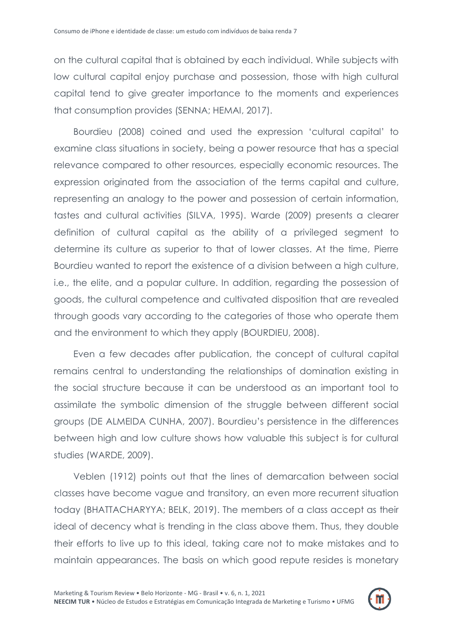on the cultural capital that is obtained by each individual. While subjects with low cultural capital enjoy purchase and possession, those with high cultural capital tend to give greater importance to the moments and experiences that consumption provides (SENNA; HEMAI, 2017).

Bourdieu (2008) coined and used the expression "cultural capital" to examine class situations in society, being a power resource that has a special relevance compared to other resources, especially economic resources. The expression originated from the association of the terms capital and culture, representing an analogy to the power and possession of certain information, tastes and cultural activities (SILVA, 1995). Warde (2009) presents a clearer definition of cultural capital as the ability of a privileged segment to determine its culture as superior to that of lower classes. At the time, Pierre Bourdieu wanted to report the existence of a division between a high culture, i.e., the elite, and a popular culture. In addition, regarding the possession of goods, the cultural competence and cultivated disposition that are revealed through goods vary according to the categories of those who operate them and the environment to which they apply (BOURDIEU, 2008).

Even a few decades after publication, the concept of cultural capital remains central to understanding the relationships of domination existing in the social structure because it can be understood as an important tool to assimilate the symbolic dimension of the struggle between different social groups (DE ALMEIDA CUNHA, 2007). Bourdieu"s persistence in the differences between high and low culture shows how valuable this subject is for cultural studies (WARDE, 2009).

Veblen (1912) points out that the lines of demarcation between social classes have become vague and transitory, an even more recurrent situation today (BHATTACHARYYA; BELK, 2019). The members of a class accept as their ideal of decency what is trending in the class above them. Thus, they double their efforts to live up to this ideal, taking care not to make mistakes and to maintain appearances. The basis on which good repute resides is monetary

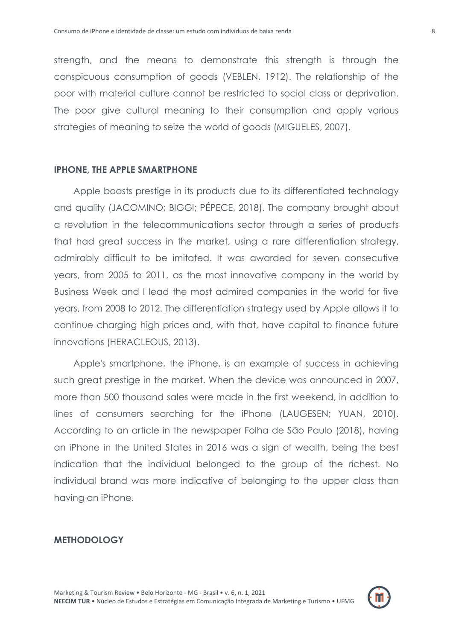strength, and the means to demonstrate this strength is through the conspicuous consumption of goods (VEBLEN, 1912). The relationship of the poor with material culture cannot be restricted to social class or deprivation. The poor give cultural meaning to their consumption and apply various strategies of meaning to seize the world of goods (MIGUELES, 2007).

#### **IPHONE, THE APPLE SMARTPHONE**

Apple boasts prestige in its products due to its differentiated technology and quality (JACOMINO; BIGGI; PÉPECE, 2018). The company brought about a revolution in the telecommunications sector through a series of products that had great success in the market, using a rare differentiation strategy, admirably difficult to be imitated. It was awarded for seven consecutive years, from 2005 to 2011, as the most innovative company in the world by Business Week and I lead the most admired companies in the world for five years, from 2008 to 2012. The differentiation strategy used by Apple allows it to continue charging high prices and, with that, have capital to finance future innovations (HERACLEOUS, 2013).

Apple's smartphone, the iPhone, is an example of success in achieving such great prestige in the market. When the device was announced in 2007, more than 500 thousand sales were made in the first weekend, in addition to lines of consumers searching for the iPhone (LAUGESEN; YUAN, 2010). According to an article in the newspaper Folha de São Paulo (2018), having an iPhone in the United States in 2016 was a sign of wealth, being the best indication that the individual belonged to the group of the richest. No individual brand was more indicative of belonging to the upper class than having an iPhone.

# **METHODOLOGY**

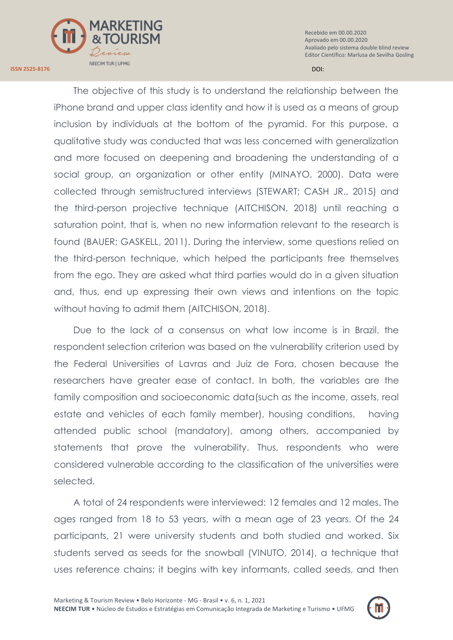

The objective of this study is to understand the relationship between the iPhone brand and upper class identity and how it is used as a means of group inclusion by individuals at the bottom of the pyramid. For this purpose, a qualitative study was conducted that was less concerned with generalization and more focused on deepening and broadening the understanding of a social group, an organization or other entity (MINAYO, 2000). Data were collected through semistructured interviews (STEWART; CASH JR., 2015) and the third-person projective technique (AITCHISON, 2018) until reaching a saturation point, that is, when no new information relevant to the research is found (BAUER; GASKELL, 2011). During the interview, some questions relied on the third-person technique, which helped the participants free themselves from the ego. They are asked what third parties would do in a given situation and, thus, end up expressing their own views and intentions on the topic without having to admit them (AITCHISON, 2018).

Due to the lack of a consensus on what low income is in Brazil, the respondent selection criterion was based on the vulnerability criterion used by the Federal Universities of Lavras and Juiz de Fora, chosen because the researchers have greater ease of contact. In both, the variables are the family composition and socioeconomic data(such as the income, assets, real estate and vehicles of each family member), housing conditions, having attended public school (mandatory), among others, accompanied by statements that prove the vulnerability. Thus, respondents who were considered vulnerable according to the classification of the universities were selected.

A total of 24 respondents were interviewed: 12 females and 12 males. The ages ranged from 18 to 53 years, with a mean age of 23 years. Of the 24 participants, 21 were university students and both studied and worked. Six students served as seeds for the snowball (VINUTO, 2014), a technique that uses reference chains; it begins with key informants, called seeds, and then



**ISSN 2525-8176** DOI:

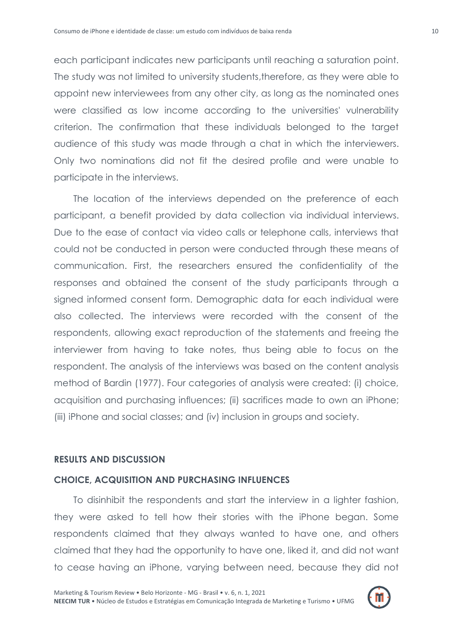each participant indicates new participants until reaching a saturation point. The study was not limited to university students,therefore, as they were able to appoint new interviewees from any other city, as long as the nominated ones were classified as low income according to the universities' vulnerability criterion. The confirmation that these individuals belonged to the target audience of this study was made through a chat in which the interviewers. Only two nominations did not fit the desired profile and were unable to participate in the interviews.

The location of the interviews depended on the preference of each participant, a benefit provided by data collection via individual interviews. Due to the ease of contact via video calls or telephone calls, interviews that could not be conducted in person were conducted through these means of communication. First, the researchers ensured the confidentiality of the responses and obtained the consent of the study participants through a signed informed consent form. Demographic data for each individual were also collected. The interviews were recorded with the consent of the respondents, allowing exact reproduction of the statements and freeing the interviewer from having to take notes, thus being able to focus on the respondent. The analysis of the interviews was based on the content analysis method of Bardin (1977). Four categories of analysis were created: (i) choice, acquisition and purchasing influences; (ii) sacrifices made to own an iPhone; (iii) iPhone and social classes; and (iv) inclusion in groups and society.

#### **RESULTS AND DISCUSSION**

#### **CHOICE, ACQUISITION AND PURCHASING INFLUENCES**

To disinhibit the respondents and start the interview in a lighter fashion, they were asked to tell how their stories with the iPhone began. Some respondents claimed that they always wanted to have one, and others claimed that they had the opportunity to have one, liked it, and did not want to cease having an iPhone, varying between need, because they did not

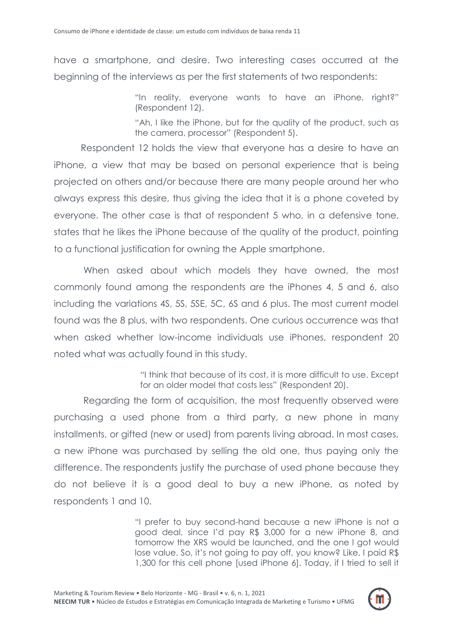have a smartphone, and desire. Two interesting cases occurred at the beginning of the interviews as per the first statements of two respondents:

> "In reality, everyone wants to have an iPhone, right?" (Respondent 12).

> "Ah, I like the iPhone, but for the quality of the product, such as the camera, processor" (Respondent 5).

Respondent 12 holds the view that everyone has a desire to have an iPhone, a view that may be based on personal experience that is being projected on others and/or because there are many people around her who always express this desire, thus giving the idea that it is a phone coveted by everyone. The other case is that of respondent 5 who, in a defensive tone, states that he likes the iPhone because of the quality of the product, pointing to a functional justification for owning the Apple smartphone.

When asked about which models they have owned, the most commonly found among the respondents are the iPhones 4, 5 and 6, also including the variations 4S, 5S, 5SE, 5C, 6S and 6 plus. The most current model found was the 8 plus, with two respondents. One curious occurrence was that when asked whether low-income individuals use iPhones, respondent 20 noted what was actually found in this study.

> "I think that because of its cost, it is more difficult to use. Except for an older model that costs less" (Respondent 20).

Regarding the form of acquisition, the most frequently observed were purchasing a used phone from a third party, a new phone in many installments, or gifted (new or used) from parents living abroad. In most cases, a new iPhone was purchased by selling the old one, thus paying only the difference. The respondents justify the purchase of used phone because they do not believe it is a good deal to buy a new iPhone, as noted by respondents 1 and 10.

> "I prefer to buy second-hand because a new iPhone is not a good deal, since I"d pay R\$ 3,000 for a new iPhone 8, and tomorrow the XRS would be launched, and the one I got would lose value. So, it"s not going to pay off, you know? Like, I paid R\$ 1,300 for this cell phone [used iPhone 6]. Today, if I tried to sell it

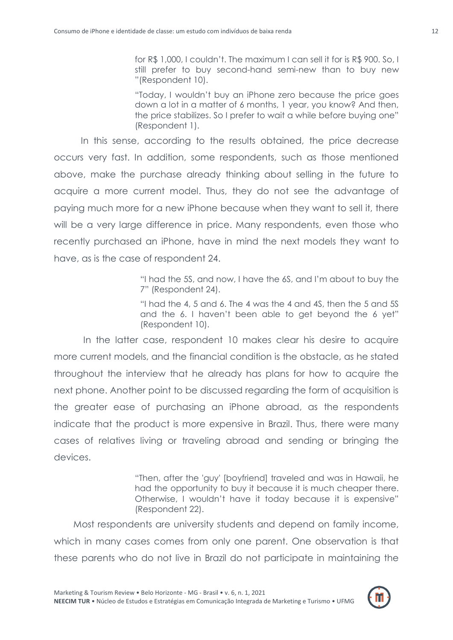for R\$ 1,000, I couldn"t. The maximum I can sell it for is R\$ 900. So, I still prefer to buy second-hand semi-new than to buy new "(Respondent 10).

"Today, I wouldn"t buy an iPhone zero because the price goes down a lot in a matter of 6 months, 1 year, you know? And then, the price stabilizes. So I prefer to wait a while before buying one" (Respondent 1).

In this sense, according to the results obtained, the price decrease occurs very fast. In addition, some respondents, such as those mentioned above, make the purchase already thinking about selling in the future to acquire a more current model. Thus, they do not see the advantage of paying much more for a new iPhone because when they want to sell it, there will be a very large difference in price. Many respondents, even those who recently purchased an iPhone, have in mind the next models they want to have, as is the case of respondent 24.

> "I had the 5S, and now, I have the 6S, and I"m about to buy the 7" (Respondent 24).

> "I had the 4, 5 and 6. The 4 was the 4 and 4S, then the 5 and 5S and the 6. I haven"t been able to get beyond the 6 yet" (Respondent 10).

In the latter case, respondent 10 makes clear his desire to acquire more current models, and the financial condition is the obstacle, as he stated throughout the interview that he already has plans for how to acquire the next phone. Another point to be discussed regarding the form of acquisition is the greater ease of purchasing an iPhone abroad, as the respondents indicate that the product is more expensive in Brazil. Thus, there were many cases of relatives living or traveling abroad and sending or bringing the devices.

> "Then, after the 'guy' [boyfriend] traveled and was in Hawaii, he had the opportunity to buy it because it is much cheaper there. Otherwise, I wouldn"t have it today because it is expensive" (Respondent 22).

Most respondents are university students and depend on family income, which in many cases comes from only one parent. One observation is that these parents who do not live in Brazil do not participate in maintaining the

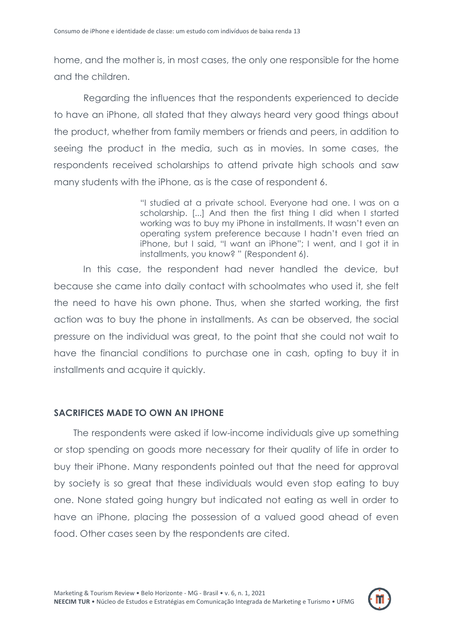home, and the mother is, in most cases, the only one responsible for the home and the children.

Regarding the influences that the respondents experienced to decide to have an iPhone, all stated that they always heard very good things about the product, whether from family members or friends and peers, in addition to seeing the product in the media, such as in movies. In some cases, the respondents received scholarships to attend private high schools and saw many students with the iPhone, as is the case of respondent 6.

> "I studied at a private school. Everyone had one. I was on a scholarship. [...] And then the first thing I did when I started working was to buy my iPhone in installments. It wasn"t even an operating system preference because I hadn"t even tried an iPhone, but I said, "I want an iPhone"; I went, and I got it in installments, you know? " (Respondent 6).

In this case, the respondent had never handled the device, but because she came into daily contact with schoolmates who used it, she felt the need to have his own phone. Thus, when she started working, the first action was to buy the phone in installments. As can be observed, the social pressure on the individual was great, to the point that she could not wait to have the financial conditions to purchase one in cash, opting to buy it in installments and acquire it quickly.

# **SACRIFICES MADE TO OWN AN IPHONE**

The respondents were asked if low-income individuals give up something or stop spending on goods more necessary for their quality of life in order to buy their iPhone. Many respondents pointed out that the need for approval by society is so great that these individuals would even stop eating to buy one. None stated going hungry but indicated not eating as well in order to have an iPhone, placing the possession of a valued good ahead of even food. Other cases seen by the respondents are cited.

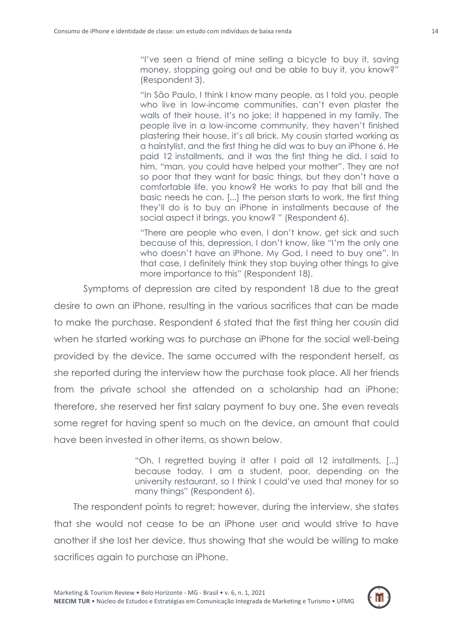"I"ve seen a friend of mine selling a bicycle to buy it, saving money, stopping going out and be able to buy it, you know?" (Respondent 3).

"In São Paulo, I think I know many people, as I told you, people who live in low-income communities, can't even plaster the walls of their house, it's no joke; it happened in my family. The people live in a low-income community, they haven"t finished plastering their house, it"s all brick. My cousin started working as a hairstylist, and the first thing he did was to buy an iPhone 6. He paid 12 installments, and it was the first thing he did. I said to him, "man, you could have helped your mother". They are not so poor that they want for basic things, but they don"t have a comfortable life, you know? He works to pay that bill and the basic needs he can. [...] the person starts to work, the first thing they"ll do is to buy an iPhone in installments because of the social aspect it brings, you know? " (Respondent 6).

"There are people who even, I don"t know, get sick and such because of this, depression, I don"t know, like "I"m the only one who doesn"t have an iPhone. My God, I need to buy one". In that case, I definitely think they stop buying other things to give more importance to this" (Respondent 18).

Symptoms of depression are cited by respondent 18 due to the great desire to own an iPhone, resulting in the various sacrifices that can be made to make the purchase. Respondent 6 stated that the first thing her cousin did when he started working was to purchase an iPhone for the social well-being provided by the device. The same occurred with the respondent herself, as she reported during the interview how the purchase took place. All her friends from the private school she attended on a scholarship had an iPhone; therefore, she reserved her first salary payment to buy one. She even reveals some regret for having spent so much on the device, an amount that could have been invested in other items, as shown below.

> "Oh, I regretted buying it after I paid all 12 installments, [...] because today, I am a student, poor, depending on the university restaurant, so I think I could"ve used that money for so many things" (Respondent 6).

The respondent points to regret; however, during the interview, she states that she would not cease to be an iPhone user and would strive to have another if she lost her device, thus showing that she would be willing to make sacrifices again to purchase an iPhone.

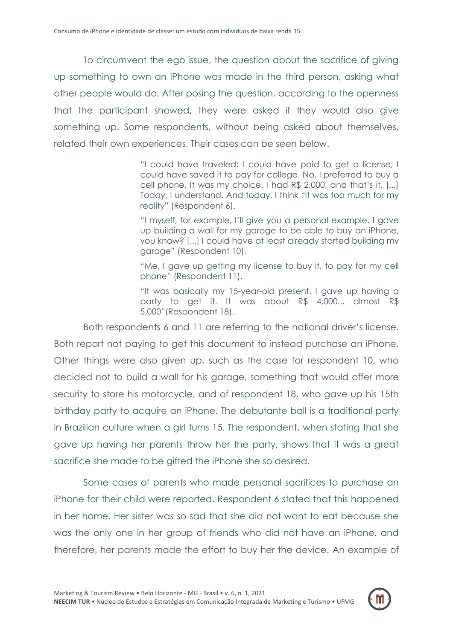To circumvent the ego issue, the question about the sacrifice of giving up something to own an iPhone was made in the third person, asking what other people would do. After posing the question, according to the openness that the participant showed, they were asked if they would also give something up. Some respondents, without being asked about themselves, related their own experiences. Their cases can be seen below.

> "I could have traveled; I could have paid to get a license; I could have saved it to pay for college. No, I preferred to buy a cell phone. It was my choice. I had R\$ 2,000, and that's it. [...] Today, I understand. And today, I think "it was too much for my reality" (Respondent 6).

> "I myself, for example, I"ll give you a personal example. I gave up building a wall for my garage to be able to buy an iPhone, you know? [...] I could have at least already started building my garage" (Respondent 10).

> "Me, I gave up getting my license to buy it, to pay for my cell phone" (Respondent 11).

> "It was basically my 15-year-old present. I gave up having a party to get it. It was about R\$ 4,000... almost R\$ 5,000"(Respondent 18).

Both respondents 6 and 11 are referring to the national driver"s license. Both report not paying to get this document to instead purchase an iPhone. Other things were also given up, such as the case for respondent 10, who decided not to build a wall for his garage, something that would offer more security to store his motorcycle, and of respondent 18, who gave up his 15th birthday party to acquire an iPhone. The debutante ball is a traditional party in Brazilian culture when a girl turns 15. The respondent, when stating that she gave up having her parents throw her the party, shows that it was a great sacrifice she made to be gifted the iPhone she so desired.

Some cases of parents who made personal sacrifices to purchase an iPhone for their child were reported. Respondent 6 stated that this happened in her home. Her sister was so sad that she did not want to eat because she was the only one in her group of friends who did not have an iPhone, and therefore, her parents made the effort to buy her the device. An example of

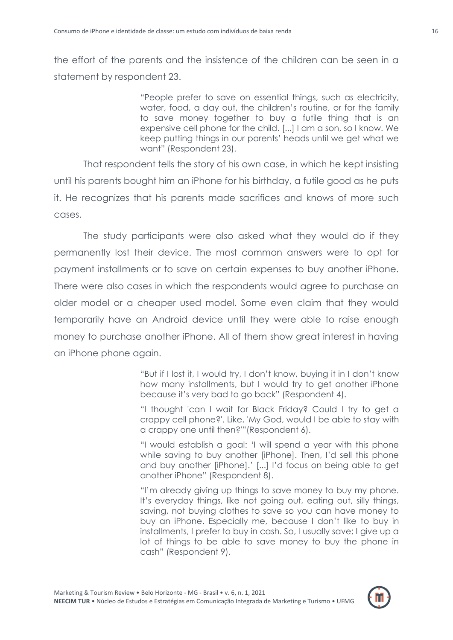the effort of the parents and the insistence of the children can be seen in a statement by respondent 23.

> "People prefer to save on essential things, such as electricity, water, food, a day out, the children"s routine, or for the family to save money together to buy a futile thing that is an expensive cell phone for the child. [...] I am a son, so I know. We keep putting things in our parents" heads until we get what we want" (Respondent 23).

That respondent tells the story of his own case, in which he kept insisting until his parents bought him an iPhone for his birthday, a futile good as he puts it. He recognizes that his parents made sacrifices and knows of more such cases.

The study participants were also asked what they would do if they permanently lost their device. The most common answers were to opt for payment installments or to save on certain expenses to buy another iPhone. There were also cases in which the respondents would agree to purchase an older model or a cheaper used model. Some even claim that they would temporarily have an Android device until they were able to raise enough money to purchase another iPhone. All of them show great interest in having an iPhone phone again.

> "But if I lost it, I would try, I don"t know, buying it in I don"t know how many installments, but I would try to get another iPhone because it"s very bad to go back" (Respondent 4).

> "I thought 'can I wait for Black Friday? Could I try to get a crappy cell phone?'. Like, 'My God, would I be able to stay with a crappy one until then?'"(Respondent 6).

> "I would establish a goal: "I will spend a year with this phone while saving to buy another [iPhone]. Then, I'd sell this phone and buy another [iPhone]." [...] I"d focus on being able to get another iPhone" (Respondent 8).

> "I"m already giving up things to save money to buy my phone. It"s everyday things, like not going out, eating out, silly things, saving, not buying clothes to save so you can have money to buy an iPhone. Especially me, because I don"t like to buy in installments, I prefer to buy in cash. So, I usually save; I give up a lot of things to be able to save money to buy the phone in cash" (Respondent 9).

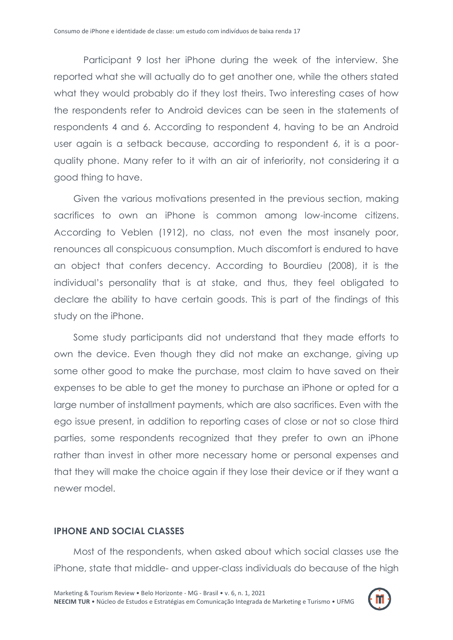Participant 9 lost her iPhone during the week of the interview. She reported what she will actually do to get another one, while the others stated what they would probably do if they lost theirs. Two interesting cases of how the respondents refer to Android devices can be seen in the statements of respondents 4 and 6. According to respondent 4, having to be an Android user again is a setback because, according to respondent 6, it is a poorquality phone. Many refer to it with an air of inferiority, not considering it a good thing to have.

Given the various motivations presented in the previous section, making sacrifices to own an iPhone is common among low-income citizens. According to Veblen (1912), no class, not even the most insanely poor, renounces all conspicuous consumption. Much discomfort is endured to have an object that confers decency. According to Bourdieu (2008), it is the individual"s personality that is at stake, and thus, they feel obligated to declare the ability to have certain goods. This is part of the findings of this study on the iPhone.

Some study participants did not understand that they made efforts to own the device. Even though they did not make an exchange, giving up some other good to make the purchase, most claim to have saved on their expenses to be able to get the money to purchase an iPhone or opted for a large number of installment payments, which are also sacrifices. Even with the ego issue present, in addition to reporting cases of close or not so close third parties, some respondents recognized that they prefer to own an iPhone rather than invest in other more necessary home or personal expenses and that they will make the choice again if they lose their device or if they want a newer model.

# **IPHONE AND SOCIAL CLASSES**

Most of the respondents, when asked about which social classes use the iPhone, state that middle- and upper-class individuals do because of the high

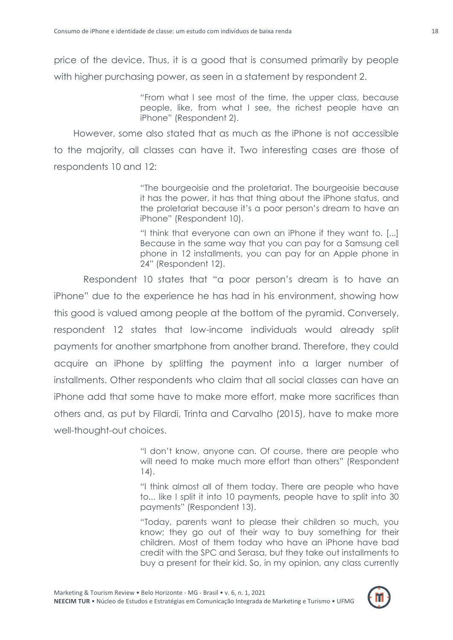price of the device. Thus, it is a good that is consumed primarily by people with higher purchasing power, as seen in a statement by respondent 2.

> "From what I see most of the time, the upper class, because people, like, from what I see, the richest people have an iPhone" (Respondent 2).

However, some also stated that as much as the iPhone is not accessible to the majority, all classes can have it. Two interesting cases are those of respondents 10 and 12:

> "The bourgeoisie and the proletariat. The bourgeoisie because it has the power, it has that thing about the iPhone status, and the proletariat because it"s a poor person"s dream to have an iPhone" (Respondent 10).

> "I think that everyone can own an iPhone if they want to. [...] Because in the same way that you can pay for a Samsung cell phone in 12 installments, you can pay for an Apple phone in 24" (Respondent 12).

Respondent 10 states that "a poor person"s dream is to have an iPhone" due to the experience he has had in his environment, showing how this good is valued among people at the bottom of the pyramid. Conversely, respondent 12 states that low-income individuals would already split payments for another smartphone from another brand. Therefore, they could acquire an iPhone by splitting the payment into a larger number of installments. Other respondents who claim that all social classes can have an iPhone add that some have to make more effort, make more sacrifices than others and, as put by Filardi, Trinta and Carvalho (2015), have to make more well-thought-out choices.

> "I don"t know, anyone can. Of course, there are people who will need to make much more effort than others" (Respondent 14).

> "I think almost all of them today. There are people who have to... like I split it into 10 payments, people have to split into 30 payments" (Respondent 13).

> "Today, parents want to please their children so much, you know; they go out of their way to buy something for their children. Most of them today who have an iPhone have bad credit with the SPC and Serasa, but they take out installments to buy a present for their kid. So, in my opinion, any class currently

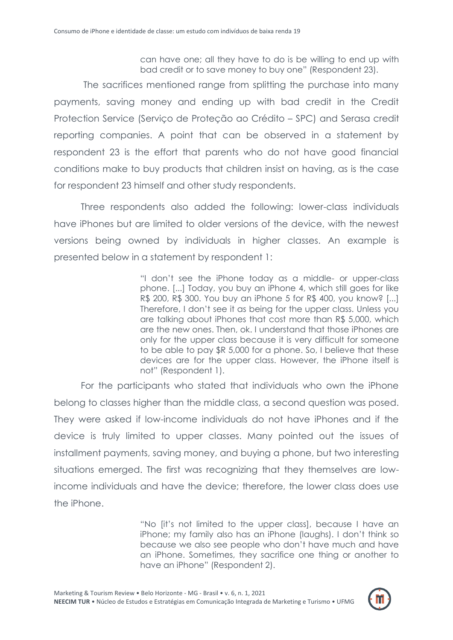can have one; all they have to do is be willing to end up with bad credit or to save money to buy one" (Respondent 23).

The sacrifices mentioned range from splitting the purchase into many payments, saving money and ending up with bad credit in the Credit Protection Service (Serviço de Proteção ao Crédito – SPC) and Serasa credit reporting companies. A point that can be observed in a statement by respondent 23 is the effort that parents who do not have good financial conditions make to buy products that children insist on having, as is the case for respondent 23 himself and other study respondents.

Three respondents also added the following: lower-class individuals have iPhones but are limited to older versions of the device, with the newest versions being owned by individuals in higher classes. An example is presented below in a statement by respondent 1:

> "I don"t see the iPhone today as a middle- or upper-class phone. [...] Today, you buy an iPhone 4, which still goes for like R\$ 200, R\$ 300. You buy an iPhone 5 for R\$ 400, you know? [...] Therefore, I don"t see it as being for the upper class. Unless you are talking about iPhones that cost more than R\$ 5,000, which are the new ones. Then, ok. I understand that those iPhones are only for the upper class because it is very difficult for someone to be able to pay \$R 5,000 for a phone. So, I believe that these devices are for the upper class. However, the iPhone itself is not" (Respondent 1).

For the participants who stated that individuals who own the iPhone belong to classes higher than the middle class, a second question was posed. They were asked if low-income individuals do not have iPhones and if the device is truly limited to upper classes. Many pointed out the issues of installment payments, saving money, and buying a phone, but two interesting situations emerged. The first was recognizing that they themselves are lowincome individuals and have the device; therefore, the lower class does use the iPhone.

> "No [it"s not limited to the upper class], because I have an iPhone; my family also has an iPhone (laughs). I don"t think so because we also see people who don"t have much and have an iPhone. Sometimes, they sacrifice one thing or another to have an iPhone" (Respondent 2).

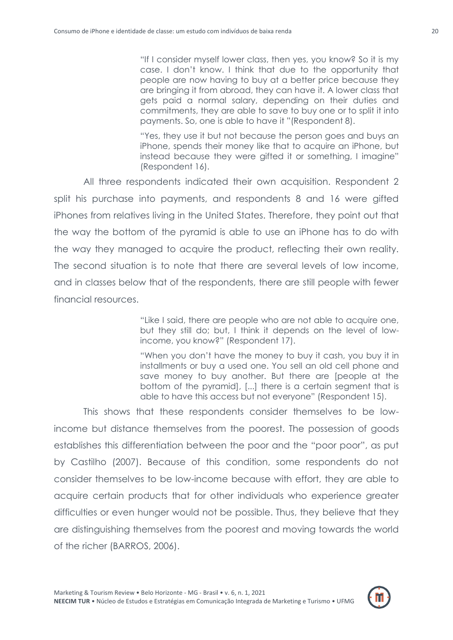"If I consider myself lower class, then yes, you know? So it is my case. I don"t know. I think that due to the opportunity that people are now having to buy at a better price because they are bringing it from abroad, they can have it. A lower class that gets paid a normal salary, depending on their duties and commitments, they are able to save to buy one or to split it into payments. So, one is able to have it "(Respondent 8).

"Yes, they use it but not because the person goes and buys an iPhone, spends their money like that to acquire an iPhone, but instead because they were gifted it or something, I imagine" (Respondent 16).

All three respondents indicated their own acquisition. Respondent 2 split his purchase into payments, and respondents 8 and 16 were gifted iPhones from relatives living in the United States. Therefore, they point out that the way the bottom of the pyramid is able to use an iPhone has to do with the way they managed to acquire the product, reflecting their own reality. The second situation is to note that there are several levels of low income, and in classes below that of the respondents, there are still people with fewer financial resources.

> "Like I said, there are people who are not able to acquire one, but they still do; but, I think it depends on the level of lowincome, you know?" (Respondent 17).

> "When you don"t have the money to buy it cash, you buy it in installments or buy a used one. You sell an old cell phone and save money to buy another. But there are [people at the bottom of the pyramid], [...] there is a certain segment that is able to have this access but not everyone" (Respondent 15).

This shows that these respondents consider themselves to be lowincome but distance themselves from the poorest. The possession of goods establishes this differentiation between the poor and the "poor poor", as put by Castilho (2007). Because of this condition, some respondents do not consider themselves to be low-income because with effort, they are able to acquire certain products that for other individuals who experience greater difficulties or even hunger would not be possible. Thus, they believe that they are distinguishing themselves from the poorest and moving towards the world of the richer (BARROS, 2006).

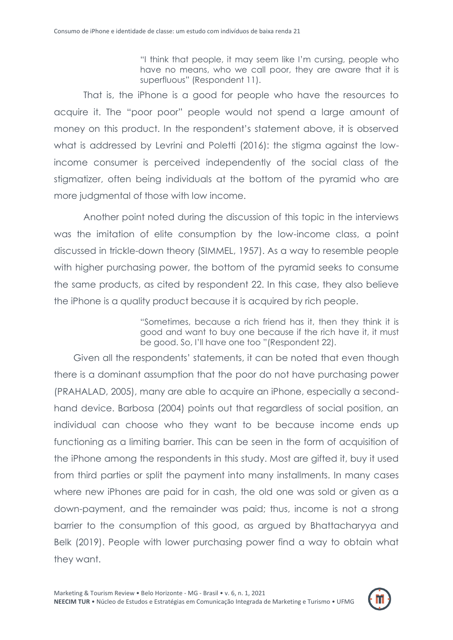"I think that people, it may seem like I"m cursing, people who have no means, who we call poor, they are aware that it is superfluous" (Respondent 11).

That is, the iPhone is a good for people who have the resources to acquire it. The "poor poor" people would not spend a large amount of money on this product. In the respondent"s statement above, it is observed what is addressed by Levrini and Poletti (2016): the stigma against the lowincome consumer is perceived independently of the social class of the stigmatizer, often being individuals at the bottom of the pyramid who are more judgmental of those with low income.

Another point noted during the discussion of this topic in the interviews was the imitation of elite consumption by the low-income class, a point discussed in trickle-down theory (SIMMEL, 1957). As a way to resemble people with higher purchasing power, the bottom of the pyramid seeks to consume the same products, as cited by respondent 22. In this case, they also believe the iPhone is a quality product because it is acquired by rich people.

> "Sometimes, because a rich friend has it, then they think it is good and want to buy one because if the rich have it, it must be good. So, I"ll have one too "(Respondent 22).

Given all the respondents" statements, it can be noted that even though there is a dominant assumption that the poor do not have purchasing power (PRAHALAD, 2005), many are able to acquire an iPhone, especially a secondhand device. Barbosa (2004) points out that regardless of social position, an individual can choose who they want to be because income ends up functioning as a limiting barrier. This can be seen in the form of acquisition of the iPhone among the respondents in this study. Most are gifted it, buy it used from third parties or split the payment into many installments. In many cases where new iPhones are paid for in cash, the old one was sold or given as a down-payment, and the remainder was paid; thus, income is not a strong barrier to the consumption of this good, as argued by Bhattacharyya and Belk (2019). People with lower purchasing power find a way to obtain what they want.

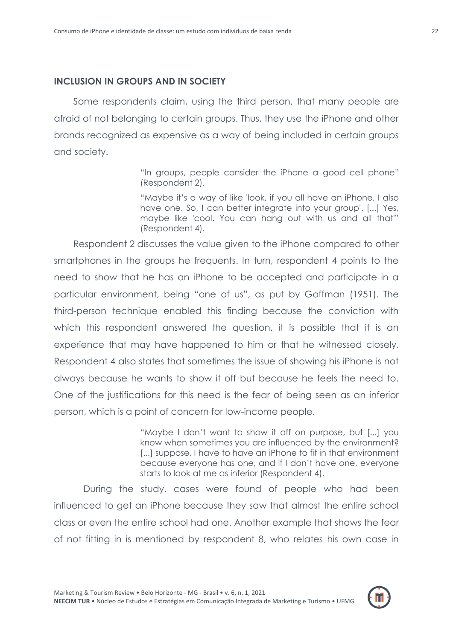# **INCLUSION IN GROUPS AND IN SOCIETY**

Some respondents claim, using the third person, that many people are afraid of not belonging to certain groups. Thus, they use the iPhone and other brands recognized as expensive as a way of being included in certain groups and society.

> "In groups, people consider the iPhone a good cell phone" (Respondent 2).

> "Maybe it"s a way of like 'look, if you all have an iPhone, I also have one. So, I can better integrate into your group'. [...] Yes, maybe like 'cool. You can hang out with us and all that'" (Respondent 4).

Respondent 2 discusses the value given to the iPhone compared to other smartphones in the groups he frequents. In turn, respondent 4 points to the need to show that he has an iPhone to be accepted and participate in a particular environment, being "one of us", as put by Goffman (1951). The third-person technique enabled this finding because the conviction with which this respondent answered the question, it is possible that it is an experience that may have happened to him or that he witnessed closely. Respondent 4 also states that sometimes the issue of showing his iPhone is not always because he wants to show it off but because he feels the need to. One of the justifications for this need is the fear of being seen as an inferior person, which is a point of concern for low-income people.

> "Maybe I don"t want to show it off on purpose, but [...] you know when sometimes you are influenced by the environment? [...] suppose, I have to have an iPhone to fit in that environment because everyone has one, and if I don"t have one, everyone starts to look at me as inferior (Respondent 4).

During the study, cases were found of people who had been influenced to get an iPhone because they saw that almost the entire school class or even the entire school had one. Another example that shows the fear of not fitting in is mentioned by respondent 8, who relates his own case in

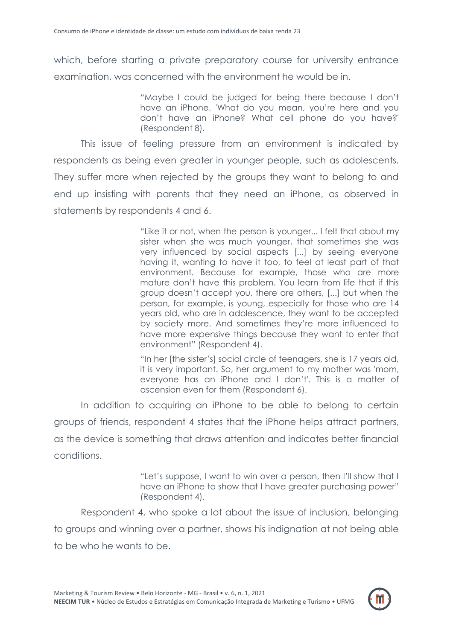which, before starting a private preparatory course for university entrance examination, was concerned with the environment he would be in.

> "Maybe I could be judged for being there because I don"t have an iPhone. 'What do you mean, you"re here and you don"t have an iPhone? What cell phone do you have?' (Respondent 8).

This issue of feeling pressure from an environment is indicated by respondents as being even greater in younger people, such as adolescents. They suffer more when rejected by the groups they want to belong to and end up insisting with parents that they need an iPhone, as observed in statements by respondents 4 and 6.

> "Like it or not, when the person is younger... I felt that about my sister when she was much younger, that sometimes she was very influenced by social aspects [...] by seeing everyone having it, wanting to have it too, to feel at least part of that environment. Because for example, those who are more mature don"t have this problem. You learn from life that if this group doesn"t accept you, there are others, [...] but when the person, for example, is young, especially for those who are 14 years old, who are in adolescence, they want to be accepted by society more. And sometimes they"re more influenced to have more expensive things because they want to enter that environment" (Respondent 4).

> "In her [the sister"s] social circle of teenagers, she is 17 years old, it is very important. So, her argument to my mother was 'mom, everyone has an iPhone and I don"t'. This is a matter of ascension even for them (Respondent 6).

In addition to acquiring an iPhone to be able to belong to certain groups of friends, respondent 4 states that the iPhone helps attract partners, as the device is something that draws attention and indicates better financial conditions.

> "Let"s suppose, I want to win over a person, then I"ll show that I have an iPhone to show that I have greater purchasing power" (Respondent 4).

Respondent 4, who spoke a lot about the issue of inclusion, belonging to groups and winning over a partner, shows his indignation at not being able to be who he wants to be.

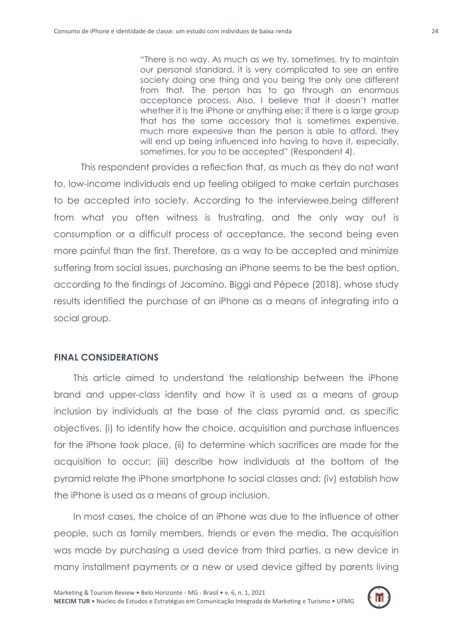"There is no way. As much as we try, sometimes, try to maintain our personal standard, it is very complicated to see an entire society doing one thing and you being the only one different from that. The person has to go through an enormous acceptance process. Also, I believe that it doesn"t matter whether it is the iPhone or anything else; if there is a large group that has the same accessory that is sometimes expensive, much more expensive than the person is able to afford, they will end up being influenced into having to have it, especially, sometimes, for you to be accepted" (Respondent 4).

This respondent provides a reflection that, as much as they do not want to, low-income individuals end up feeling obliged to make certain purchases to be accepted into society. According to the interviewee,being different from what you often witness is frustrating, and the only way out is consumption or a difficult process of acceptance, the second being even more painful than the first. Therefore, as a way to be accepted and minimize suffering from social issues, purchasing an iPhone seems to be the best option, according to the findings of Jacomino, Biggi and Pépece (2018), whose study results identified the purchase of an iPhone as a means of integrating into a social group.

# **FINAL CONSIDERATIONS**

This article aimed to understand the relationship between the iPhone brand and upper-class identity and how it is used as a means of group inclusion by individuals at the base of the class pyramid and, as specific objectives, (i) to identify how the choice, acquisition and purchase influences for the iPhone took place, (ii) to determine which sacrifices are made for the acquisition to occur; (iii) describe how individuals at the bottom of the pyramid relate the iPhone smartphone to social classes and; (iv) establish how the iPhone is used as a means of group inclusion.

In most cases, the choice of an iPhone was due to the influence of other people, such as family members, friends or even the media. The acquisition was made by purchasing a used device from third parties, a new device in many installment payments or a new or used device gifted by parents living

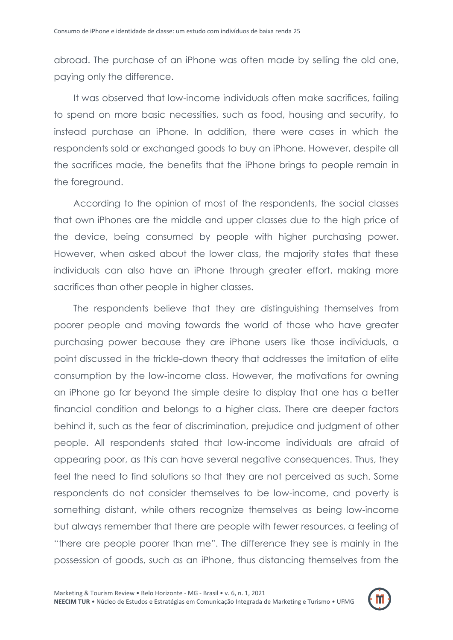abroad. The purchase of an iPhone was often made by selling the old one, paying only the difference.

It was observed that low-income individuals often make sacrifices, failing to spend on more basic necessities, such as food, housing and security, to instead purchase an iPhone. In addition, there were cases in which the respondents sold or exchanged goods to buy an iPhone. However, despite all the sacrifices made, the benefits that the iPhone brings to people remain in the foreground.

According to the opinion of most of the respondents, the social classes that own iPhones are the middle and upper classes due to the high price of the device, being consumed by people with higher purchasing power. However, when asked about the lower class, the majority states that these individuals can also have an iPhone through greater effort, making more sacrifices than other people in higher classes.

The respondents believe that they are distinguishing themselves from poorer people and moving towards the world of those who have greater purchasing power because they are iPhone users like those individuals, a point discussed in the trickle-down theory that addresses the imitation of elite consumption by the low-income class. However, the motivations for owning an iPhone go far beyond the simple desire to display that one has a better financial condition and belongs to a higher class. There are deeper factors behind it, such as the fear of discrimination, prejudice and judgment of other people. All respondents stated that low-income individuals are afraid of appearing poor, as this can have several negative consequences. Thus, they feel the need to find solutions so that they are not perceived as such. Some respondents do not consider themselves to be low-income, and poverty is something distant, while others recognize themselves as being low-income but always remember that there are people with fewer resources, a feeling of "there are people poorer than me". The difference they see is mainly in the possession of goods, such as an iPhone, thus distancing themselves from the

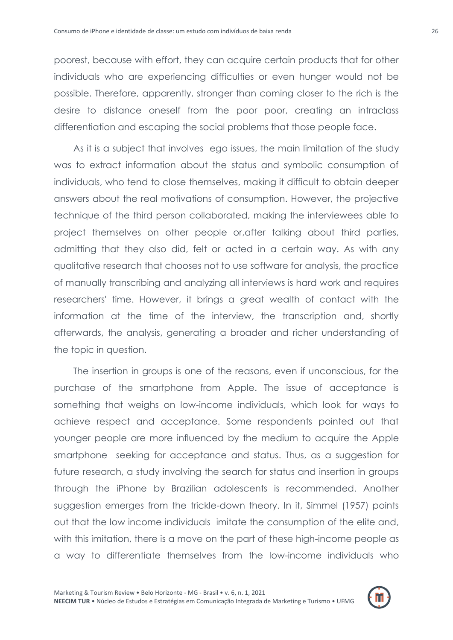poorest, because with effort, they can acquire certain products that for other individuals who are experiencing difficulties or even hunger would not be possible. Therefore, apparently, stronger than coming closer to the rich is the desire to distance oneself from the poor poor, creating an intraclass differentiation and escaping the social problems that those people face.

As it is a subject that involves ego issues, the main limitation of the study was to extract information about the status and symbolic consumption of individuals, who tend to close themselves, making it difficult to obtain deeper answers about the real motivations of consumption. However, the projective technique of the third person collaborated, making the interviewees able to project themselves on other people or,after talking about third parties, admitting that they also did, felt or acted in a certain way. As with any qualitative research that chooses not to use software for analysis, the practice of manually transcribing and analyzing all interviews is hard work and requires researchers' time. However, it brings a great wealth of contact with the information at the time of the interview, the transcription and, shortly afterwards, the analysis, generating a broader and richer understanding of the topic in question.

The insertion in groups is one of the reasons, even if unconscious, for the purchase of the smartphone from Apple. The issue of acceptance is something that weighs on low-income individuals, which look for ways to achieve respect and acceptance. Some respondents pointed out that younger people are more influenced by the medium to acquire the Apple smartphone seeking for acceptance and status. Thus, as a suggestion for future research, a study involving the search for status and insertion in groups through the iPhone by Brazilian adolescents is recommended. Another suggestion emerges from the trickle-down theory. In it, Simmel (1957) points out that the low income individuals imitate the consumption of the elite and, with this imitation, there is a move on the part of these high-income people as a way to differentiate themselves from the low-income individuals who

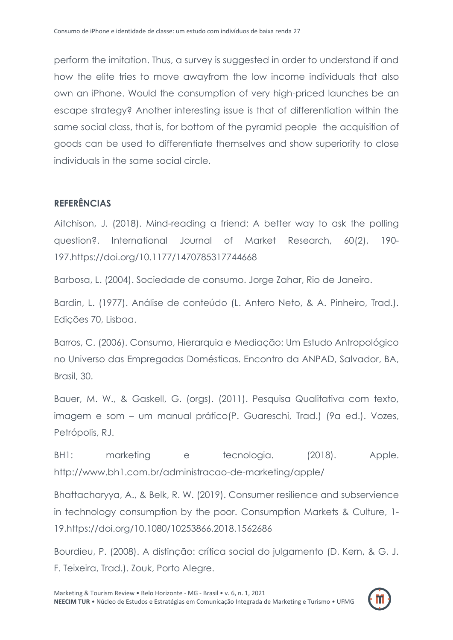perform the imitation. Thus, a survey is suggested in order to understand if and how the elite tries to move awayfrom the low income individuals that also own an iPhone. Would the consumption of very high-priced launches be an escape strategy? Another interesting issue is that of differentiation within the same social class, that is, for bottom of the pyramid people the acquisition of goods can be used to differentiate themselves and show superiority to close individuals in the same social circle.

# **REFERÊNCIAS**

Aitchison, J. (2018). Mind-reading a friend: A better way to ask the polling question?. International Journal of Market Research, 60(2), 190- 197.https://doi.org/10.1177/1470785317744668

Barbosa, L. (2004). Sociedade de consumo. Jorge Zahar, Rio de Janeiro.

Bardin, L. (1977). Análise de conteúdo (L. Antero Neto, & A. Pinheiro, Trad.). Edições 70, Lisboa.

Barros, C. (2006). Consumo, Hierarquia e Mediação: Um Estudo Antropológico no Universo das Empregadas Domésticas. Encontro da ANPAD, Salvador, BA, Brasil, 30.

Bauer, M. W., & Gaskell, G. (orgs). (2011). Pesquisa Qualitativa com texto, imagem e som – um manual prático(P. Guareschi, Trad.) (9a ed.). Vozes, Petrópolis, RJ.

BH1: marketing e tecnologia. (2018). Apple. http://www.bh1.com.br/administracao-de-marketing/apple/

Bhattacharyya, A., & Belk, R. W. (2019). Consumer resilience and subservience in technology consumption by the poor. Consumption Markets & Culture, 1- 19.https://doi.org/10.1080/10253866.2018.1562686

Bourdieu, P. (2008). A distinção: crítica social do julgamento (D. Kern, & G. J. F. Teixeira, Trad.). Zouk, Porto Alegre.

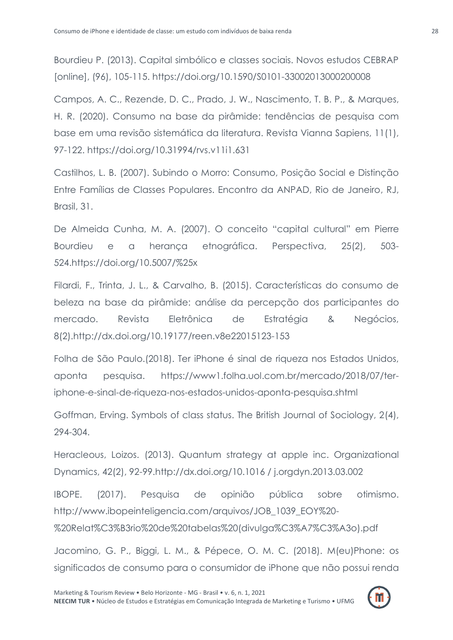Bourdieu P. (2013). Capital simbólico e classes sociais. Novos estudos CEBRAP [online], (96), 105-115. https://doi.org/10.1590/S0101-33002013000200008

Campos, A. C., Rezende, D. C., Prado, J. W., Nascimento, T. B. P., & Marques, H. R. (2020). Consumo na base da pirâmide: tendências de pesquisa com base em uma revisão sistemática da literatura. Revista Vianna Sapiens, 11(1), 97-122. https://doi.org/10.31994/rvs.v11i1.631

Castilhos, L. B. (2007). Subindo o Morro: Consumo, Posição Social e Distinção Entre Famílias de Classes Populares. Encontro da ANPAD, Rio de Janeiro, RJ, Brasil, 31.

De Almeida Cunha, M. A. (2007). O conceito "capital cultural" em Pierre Bourdieu e a herança etnográfica. Perspectiva, 25(2), 503- 524.https://doi.org/10.5007/%25x

Filardi, F., Trinta, J. L., & Carvalho, B. (2015). Características do consumo de beleza na base da pirâmide: análise da percepção dos participantes do mercado. Revista Eletrônica de Estratégia & Negócios, 8(2).http://dx.doi.org/10.19177/reen.v8e22015123-153

Folha de São Paulo.(2018). Ter iPhone é sinal de riqueza nos Estados Unidos, aponta pesquisa. https://www1.folha.uol.com.br/mercado/2018/07/teriphone-e-sinal-de-riqueza-nos-estados-unidos-aponta-pesquisa.shtml

Goffman, Erving. Symbols of class status. The British Journal of Sociology, 2(4), 294-304.

Heracleous, Loizos. (2013). Quantum strategy at apple inc. Organizational Dynamics, 42(2), 92-99.http://dx.doi.org/10.1016 / j.orgdyn.2013.03.002

IBOPE. (2017). Pesquisa de opinião pública sobre otimismo. http://www.ibopeinteligencia.com/arquivos/JOB\_1039\_EOY%20- %20Relat%C3%B3rio%20de%20tabelas%20(divulga%C3%A7%C3%A3o).pdf

Jacomino, G. P., Biggi, L. M., & Pépece, O. M. C. (2018). M(eu)Phone: os significados de consumo para o consumidor de iPhone que não possui renda

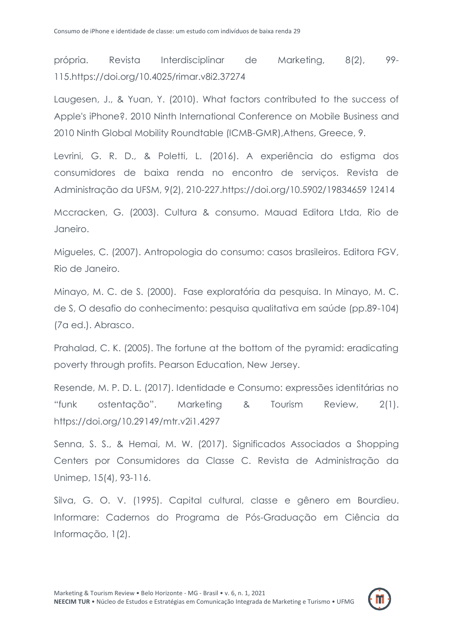própria. Revista Interdisciplinar de Marketing, 8(2), 99- 115.https://doi.org/10.4025/rimar.v8i2.37274

Laugesen, J., & Yuan, Y. (2010). What factors contributed to the success of Apple's iPhone?. 2010 Ninth International Conference on Mobile Business and 2010 Ninth Global Mobility Roundtable (ICMB-GMR),Athens, Greece, 9.

Levrini, G. R. D., & Poletti, L. (2016). A experiência do estigma dos consumidores de baixa renda no encontro de serviços. Revista de Administração da UFSM, 9(2), 210-227.https://doi.org/10.5902/19834659 12414

Mccracken, G. (2003). Cultura & consumo. Mauad Editora Ltda, Rio de Janeiro.

Migueles, C. (2007). Antropologia do consumo: casos brasileiros. Editora FGV, Rio de Janeiro.

Minayo, M. C. de S. (2000). Fase exploratória da pesquisa. In Minayo, M. C. de S, O desafio do conhecimento: pesquisa qualitativa em saúde (pp.89-104) (7a ed.). Abrasco.

Prahalad, C. K. (2005). The fortune at the bottom of the pyramid: eradicating poverty through profits. Pearson Education, New Jersey.

Resende, M. P. D. L. (2017). Identidade e Consumo: expressões identitárias no "funk ostentação". Marketing & Tourism Review, 2(1). https://doi.org/10.29149/mtr.v2i1.4297

Senna, S. S., & Hemai, M. W. (2017). Significados Associados a Shopping Centers por Consumidores da Classe C. Revista de Administração da Unimep, 15(4), 93-116.

Silva, G. O. V. (1995). Capital cultural, classe e gênero em Bourdieu. Informare: Cadernos do Programa de Pós-Graduação em Ciência da Informação, 1(2).